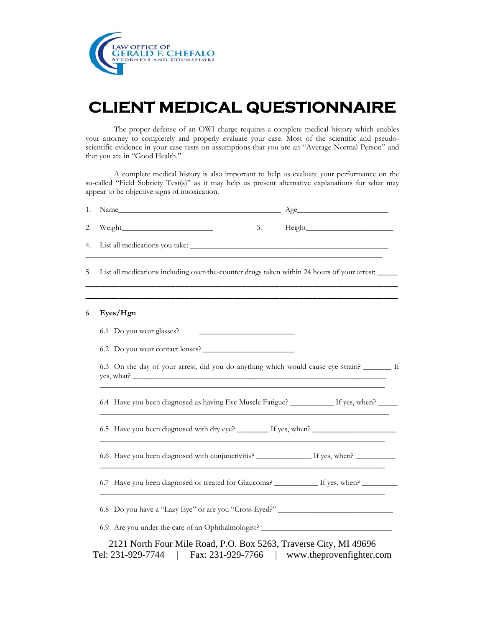

## **CLIENT MEDICAL QUESTIONNAIRE**

 The proper defense of an OWI charge requires a complete medical history which enables your attorney to completely and properly evaluate your case. Most of the scientific and pseudoscientific evidence in your case rests on assumptions that you are an "Average Normal Person" and that you are in "Good Health."

 A complete medical history is also important to help us evaluate your performance on the so-called "Field Sobriety Test(s)" as it may help us present alternative explanations for what may appear to be objective signs of intoxication.

| 1. |                                                                                                             | Age                      |
|----|-------------------------------------------------------------------------------------------------------------|--------------------------|
| 2. | 3.                                                                                                          |                          |
| 4. |                                                                                                             |                          |
| 5. | List all medications including over-the-counter drugs taken within 24 hours of your arrest:                 |                          |
| 6. | Eyes/Hgn                                                                                                    |                          |
|    | 6.1 Do you wear glasses?                                                                                    |                          |
|    |                                                                                                             |                          |
|    | 6.3 On the day of your arrest, did you do anything which would cause eye strain? _________ If<br>yes, what? |                          |
|    | 6.4 Have you been diagnosed as having Eye Muscle Fatigue? ___________ If yes, when? _____                   |                          |
|    | 6.5 Have you been diagnosed with dry eye? _________ If yes, when? _______________                           |                          |
|    |                                                                                                             |                          |
|    | 6.7 Have you been diagnosed or treated for Glaucoma? _____________ If yes, when? __________                 |                          |
|    | 6.8 Do you have a "Lazy Eye" or are you "Cross Eyed?" ___________________________                           |                          |
|    | 6.9 Are you under the care of an Ophthalmologist? ______________________________                            |                          |
|    | 2121 North Four Mile Road, P.O. Box 5263, Traverse City, MI 49696<br>Tel: 231-929-7744   Fax: 231-929-7766  | www.theprovenfighter.com |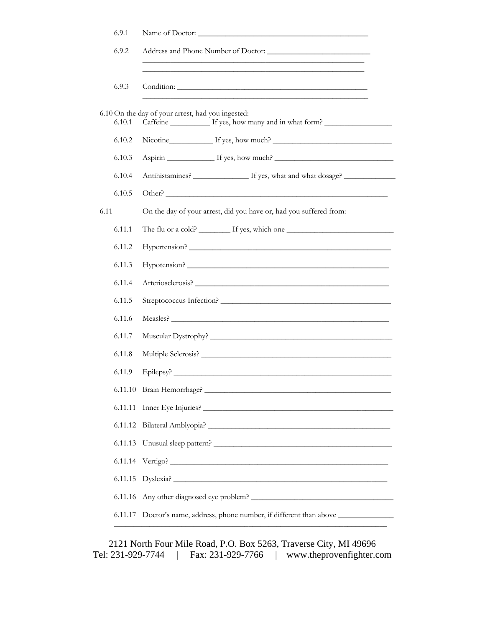| 6.9.1  | Name of Doctor:                                                                                                                                             |
|--------|-------------------------------------------------------------------------------------------------------------------------------------------------------------|
| 6.9.2  | Address and Phone Number of Doctor:<br><u> 1989 - Johann Barn, amerikan basar basa dalam basa dan basa dalam basa dalam basa dalam basa dalam basa dala</u> |
| 6.9.3  |                                                                                                                                                             |
| 6.10.1 | 6.10 On the day of your arrest, had you ingested:<br>Caffeine _______________ If yes, how many and in what form? _____________________                      |
| 6.10.2 |                                                                                                                                                             |
| 6.10.3 |                                                                                                                                                             |
| 6.10.4 | Antihistamines? ___________________ If yes, what and what dosage? ______________                                                                            |
| 6.10.5 |                                                                                                                                                             |
| 6.11   | On the day of your arrest, did you have or, had you suffered from:                                                                                          |
| 6.11.1 | The flu or a cold? __________ If yes, which one _________________________________                                                                           |
| 6.11.2 |                                                                                                                                                             |
| 6.11.3 |                                                                                                                                                             |
| 6.11.4 |                                                                                                                                                             |
| 6.11.5 |                                                                                                                                                             |
| 6.11.6 |                                                                                                                                                             |
| 6.11.7 | Muscular Dystrophy?                                                                                                                                         |
| 6.11.8 |                                                                                                                                                             |
| 6.11.9 | Epilepsy?                                                                                                                                                   |
|        |                                                                                                                                                             |
|        |                                                                                                                                                             |
|        |                                                                                                                                                             |
|        |                                                                                                                                                             |
|        |                                                                                                                                                             |
|        |                                                                                                                                                             |
|        |                                                                                                                                                             |
|        | 6.11.17 Doctor's name, address, phone number, if different than above ___________                                                                           |

2121 North Four Mile Road, P.O. Box 5263, Traverse City, MI 49696 Tel: 231-929-7744 | Fax: 231-929-7766 | www.theprovenfighter.com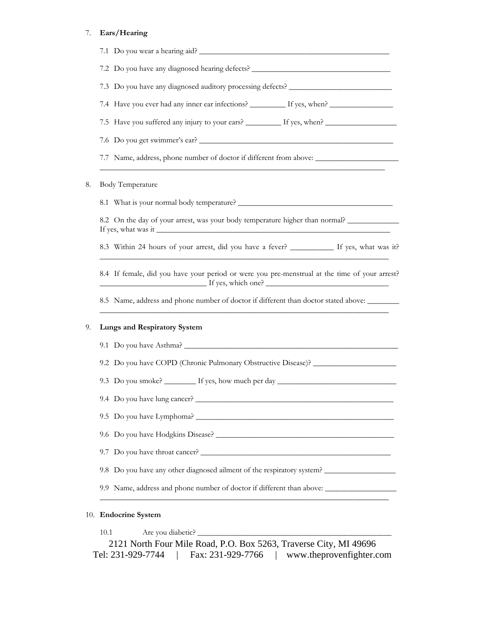## 7. **Ears/Hearing**

| 7.2 Do you have any diagnosed hearing defects? _________________________________                                                                                                                                                                                                                                                                                                             |
|----------------------------------------------------------------------------------------------------------------------------------------------------------------------------------------------------------------------------------------------------------------------------------------------------------------------------------------------------------------------------------------------|
| 7.3 Do you have any diagnosed auditory processing defects?                                                                                                                                                                                                                                                                                                                                   |
|                                                                                                                                                                                                                                                                                                                                                                                              |
| 7.5 Have you suffered any injury to your ears? If yes, when?                                                                                                                                                                                                                                                                                                                                 |
|                                                                                                                                                                                                                                                                                                                                                                                              |
| 7.7 Name, address, phone number of doctor if different from above: _____________                                                                                                                                                                                                                                                                                                             |
| Body Temperature                                                                                                                                                                                                                                                                                                                                                                             |
|                                                                                                                                                                                                                                                                                                                                                                                              |
| 8.2 On the day of your arrest, was your body temperature higher than normal?                                                                                                                                                                                                                                                                                                                 |
| 8.3 Within 24 hours of your arrest, did you have a fever? __________ If yes, what was it?<br><u> 1980 - Johann John Stone, market fan it ferskearre fan it ferskearre fan it ferskearre fan it ferskearre fan</u>                                                                                                                                                                            |
| 8.4 If female, did you have your period or were you pre-menstrual at the time of your arrest?<br>$\frac{1}{2}$ If yes, which one?                                                                                                                                                                                                                                                            |
|                                                                                                                                                                                                                                                                                                                                                                                              |
| <b>Lungs and Respiratory System</b>                                                                                                                                                                                                                                                                                                                                                          |
|                                                                                                                                                                                                                                                                                                                                                                                              |
| 9.2 Do you have COPD (Chronic Pulmonary Obstructive Disease)? __________________                                                                                                                                                                                                                                                                                                             |
|                                                                                                                                                                                                                                                                                                                                                                                              |
| 9.4 Do you have lung cancer?                                                                                                                                                                                                                                                                                                                                                                 |
|                                                                                                                                                                                                                                                                                                                                                                                              |
|                                                                                                                                                                                                                                                                                                                                                                                              |
|                                                                                                                                                                                                                                                                                                                                                                                              |
|                                                                                                                                                                                                                                                                                                                                                                                              |
|                                                                                                                                                                                                                                                                                                                                                                                              |
| 8.5 Name, address and phone number of doctor if different than doctor stated above:<br>9.3 Do you smoke? __________ If yes, how much per day __________________________<br>9.8 Do you have any other diagnosed ailment of the respiratory system? _____________________________<br>9.9 Name, address and phone number of doctor if different than above: ___________<br>10. Endocrine System |

Tel: 231-929-7744 | Fax: 231-929-7766 | www.theprovenfighter.com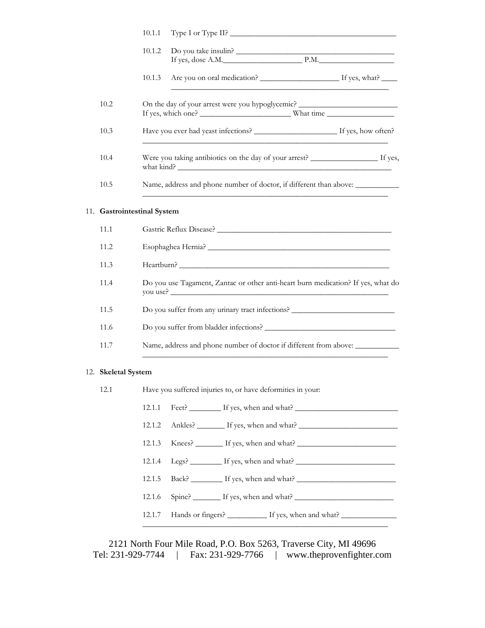|  |                             | 10.1.1 |  |  |                                                             |  |                                                                                          |
|--|-----------------------------|--------|--|--|-------------------------------------------------------------|--|------------------------------------------------------------------------------------------|
|  |                             | 10.1.2 |  |  |                                                             |  | Do you take insulin?<br>If yes, dose A.M. P.M.                                           |
|  |                             | 10.1.3 |  |  |                                                             |  |                                                                                          |
|  | 10.2                        |        |  |  |                                                             |  | On the day of your arrest were you hypoglycemic? _______________________________         |
|  | 10.3                        |        |  |  |                                                             |  |                                                                                          |
|  | 10.4                        |        |  |  |                                                             |  | Were you taking antibiotics on the day of your arrest? _________________________ If yes, |
|  | 10.5                        |        |  |  |                                                             |  | Name, address and phone number of doctor, if different than above: _____________         |
|  | 11. Gastrointestinal System |        |  |  |                                                             |  |                                                                                          |
|  | 11.1                        |        |  |  |                                                             |  |                                                                                          |
|  | 11.2                        |        |  |  |                                                             |  |                                                                                          |
|  | 11.3                        |        |  |  |                                                             |  |                                                                                          |
|  | 11.4                        |        |  |  |                                                             |  | Do you use Tagament, Zantac or other anti-heart burn medication? If yes, what do         |
|  | 11.5                        |        |  |  |                                                             |  | Do you suffer from any urinary tract infections? _______________________________         |
|  | 11.6                        |        |  |  |                                                             |  |                                                                                          |
|  | 11.7                        |        |  |  |                                                             |  | Name, address and phone number of doctor if different from above: ______________         |
|  | 12. Skeletal System         |        |  |  |                                                             |  |                                                                                          |
|  | 12.1                        |        |  |  | Have you suffered injuries to, or have deformities in your: |  |                                                                                          |
|  |                             | 12.1.1 |  |  |                                                             |  |                                                                                          |
|  |                             | 12.1.2 |  |  |                                                             |  |                                                                                          |
|  |                             | 12.1.3 |  |  |                                                             |  |                                                                                          |
|  |                             | 12.1.4 |  |  |                                                             |  |                                                                                          |
|  |                             | 12.1.5 |  |  |                                                             |  |                                                                                          |
|  |                             | 12.1.6 |  |  |                                                             |  |                                                                                          |
|  |                             | 12.1.7 |  |  |                                                             |  | Hands or fingers? ________________ If yes, when and what? _______________________        |
|  |                             |        |  |  |                                                             |  |                                                                                          |

2121 North Four Mile Road, P.O. Box 5263, Traverse City, MI 49696 Tel: 231-929-7744 | Fax: 231-929-7766 | www.theprovenfighter.com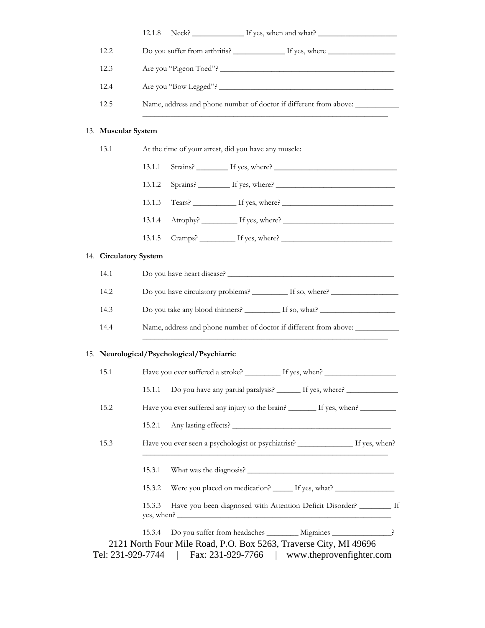|                        | 12.1.8                                                                                                            |
|------------------------|-------------------------------------------------------------------------------------------------------------------|
| 12.2                   |                                                                                                                   |
| 12.3                   |                                                                                                                   |
| 12.4                   |                                                                                                                   |
| 12.5                   | Name, address and phone number of doctor if different from above: _____________                                   |
| 13. Muscular System    |                                                                                                                   |
| 13.1                   | At the time of your arrest, did you have any muscle:                                                              |
|                        | 13.1.1                                                                                                            |
|                        | 13.1.2                                                                                                            |
|                        | 13.1.3                                                                                                            |
|                        | 13.1.4                                                                                                            |
|                        | 13.1.5                                                                                                            |
| 14. Circulatory System |                                                                                                                   |
| 14.1                   |                                                                                                                   |
| 14.2                   |                                                                                                                   |
| 14.3                   | Do you take any blood thinners? ___________ If so, what? _______________________                                  |
| 14.4                   | Name, address and phone number of doctor if different from above: _____________                                   |
|                        | 15. Neurological/Psychological/Psychiatric                                                                        |
| 15.1                   | Have you ever suffered a stroke? If yes, when?                                                                    |
|                        | Do you have any partial paralysis? _______ If yes, where? ______________________<br>15.1.1                        |
| 15.2                   | Have you ever suffered any injury to the brain? _________ If yes, when? _________                                 |
|                        | Any lasting effects?<br>15.2.1                                                                                    |
| 15.3                   | Have you ever seen a psychologist or psychiatrist? ________________ If yes, when?                                 |
|                        | 15.3.1                                                                                                            |
|                        | Were you placed on medication? ______ If yes, what? _____________________________<br>15.3.2                       |
|                        | Have you been diagnosed with Attention Deficit Disorder? _________ If<br>15.3.3                                   |
|                        | 15.3.4                                                                                                            |
| Tel: 231-929-7744      | 2121 North Four Mile Road, P.O. Box 5263, Traverse City, MI 49696<br>Fax: 231-929-7766   www.theprovenfighter.com |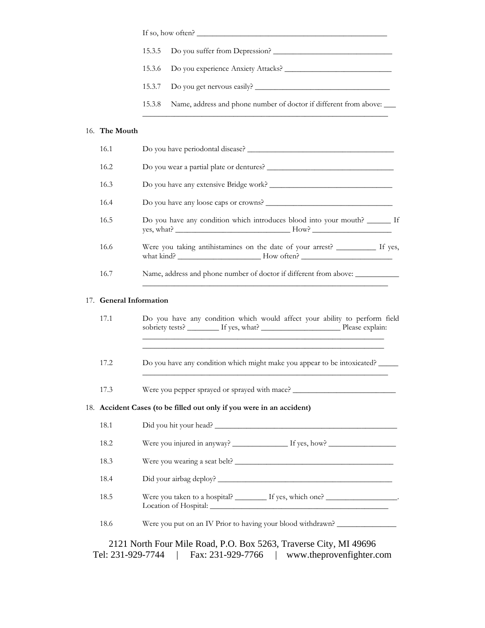|                         | If so, how often? $\frac{1}{2}$ and $\frac{1}{2}$ and $\frac{1}{2}$ and $\frac{1}{2}$ and $\frac{1}{2}$ and $\frac{1}{2}$ and $\frac{1}{2}$ and $\frac{1}{2}$ and $\frac{1}{2}$ and $\frac{1}{2}$ and $\frac{1}{2}$ and $\frac{1}{2}$ and $\frac{1}{2}$ and $\frac{1}{2}$ and $\frac{1}{2$ |
|-------------------------|--------------------------------------------------------------------------------------------------------------------------------------------------------------------------------------------------------------------------------------------------------------------------------------------|
|                         | 15.3.5                                                                                                                                                                                                                                                                                     |
|                         | 15.3.6                                                                                                                                                                                                                                                                                     |
|                         | 15.3.7                                                                                                                                                                                                                                                                                     |
|                         | Name, address and phone number of doctor if different from above:<br>15.3.8                                                                                                                                                                                                                |
| 16. The Mouth           |                                                                                                                                                                                                                                                                                            |
| 16.1                    |                                                                                                                                                                                                                                                                                            |
| 16.2                    |                                                                                                                                                                                                                                                                                            |
| 16.3                    |                                                                                                                                                                                                                                                                                            |
| 16.4                    | Do you have any loose caps or crowns?                                                                                                                                                                                                                                                      |
| 16.5                    | Do you have any condition which introduces blood into your mouth? _______ If                                                                                                                                                                                                               |
| 16.6                    |                                                                                                                                                                                                                                                                                            |
| 16.7                    | Name, address and phone number of doctor if different from above: ______________                                                                                                                                                                                                           |
| 17. General Information |                                                                                                                                                                                                                                                                                            |
| 17.1                    | Do you have any condition which would affect your ability to perform field                                                                                                                                                                                                                 |
| 17.2                    | <u> 1989 - Johann Stoff, amerikansk politiker (d. 1989)</u><br>Do you have any condition which might make you appear to be intoxicated?                                                                                                                                                    |
| 17.3                    | Were you pepper sprayed or sprayed with mace? __________________________________                                                                                                                                                                                                           |
|                         | 18. Accident Cases (to be filled out only if you were in an accident)                                                                                                                                                                                                                      |
| 18.1                    |                                                                                                                                                                                                                                                                                            |
| 18.2                    |                                                                                                                                                                                                                                                                                            |
| 18.3                    |                                                                                                                                                                                                                                                                                            |
| 18.4                    |                                                                                                                                                                                                                                                                                            |
| 18.5                    | Were you taken to a hospital? ________ If yes, which one? _________________.                                                                                                                                                                                                               |
| 18.6                    | Were you put on an IV Prior to having your blood withdrawn?                                                                                                                                                                                                                                |
|                         | 2121 North Four Mile Road, P.O. Box 5263, Traverse City, MI 49696                                                                                                                                                                                                                          |

Tel: 231-929-7744 | Fax: 231-929-7766 | www.theprovenfighter.com